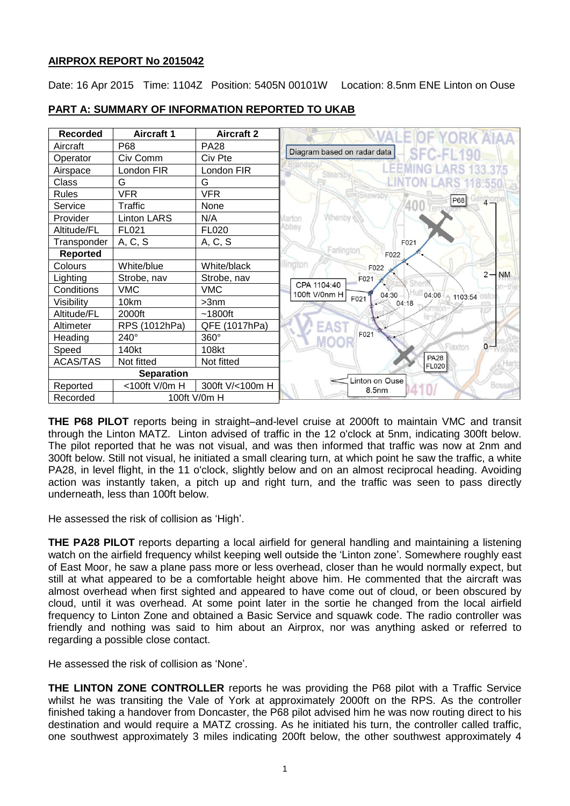### **AIRPROX REPORT No 2015042**

Date: 16 Apr 2015 Time: 1104Z Position: 5405N 00101W Location: 8.5nm ENE Linton on Ouse

| <b>Recorded</b>   | <b>Aircraft 1</b>  | <b>Aircraft 2</b> |  |
|-------------------|--------------------|-------------------|--|
| Aircraft          | P68                | <b>PA28</b>       |  |
| Operator          | Civ Comm           | Civ Pte           |  |
| Airspace          | London FIR         | London FIR        |  |
| Class             | G                  | G                 |  |
| <b>Rules</b>      | <b>VFR</b>         | <b>VFR</b>        |  |
| Service           | <b>Traffic</b>     | None              |  |
| Provider          | <b>Linton LARS</b> | N/A               |  |
| Altitude/FL       | FL021              | FL020             |  |
| Transponder       | A, C, S            | A, C, S           |  |
| <b>Reported</b>   |                    |                   |  |
| Colours           | White/blue         | White/black       |  |
| Lighting          | Strobe, nav        | Strobe, nav       |  |
| Conditions        | <b>VMC</b>         | <b>VMC</b>        |  |
| Visibility        | 10km               | $>3$ nm           |  |
| Altitude/FL       | 2000ft             | $~1800$ ft        |  |
| Altimeter         | RPS (1012hPa)      | QFE (1017hPa)     |  |
| Heading           | 240°               | 360°              |  |
| Speed             | 140kt              | 108kt             |  |
| <b>ACAS/TAS</b>   | Not fitted         | Not fitted        |  |
| <b>Separation</b> |                    |                   |  |
| Reported          | <100ft V/0m H      | 300ft V/<100m H   |  |
| Recorded          | 100ft V/0m H       |                   |  |

## **PART A: SUMMARY OF INFORMATION REPORTED TO UKAB**

**THE P68 PILOT** reports being in straight–and-level cruise at 2000ft to maintain VMC and transit through the Linton MATZ. Linton advised of traffic in the 12 o'clock at 5nm, indicating 300ft below. The pilot reported that he was not visual, and was then informed that traffic was now at 2nm and 300ft below. Still not visual, he initiated a small clearing turn, at which point he saw the traffic, a white PA28, in level flight, in the 11 o'clock, slightly below and on an almost reciprocal heading. Avoiding action was instantly taken, a pitch up and right turn, and the traffic was seen to pass directly underneath, less than 100ft below.

He assessed the risk of collision as 'High'.

**THE PA28 PILOT** reports departing a local airfield for general handling and maintaining a listening watch on the airfield frequency whilst keeping well outside the 'Linton zone'. Somewhere roughly east of East Moor, he saw a plane pass more or less overhead, closer than he would normally expect, but still at what appeared to be a comfortable height above him. He commented that the aircraft was almost overhead when first sighted and appeared to have come out of cloud, or been obscured by cloud, until it was overhead. At some point later in the sortie he changed from the local airfield frequency to Linton Zone and obtained a Basic Service and squawk code. The radio controller was friendly and nothing was said to him about an Airprox, nor was anything asked or referred to regarding a possible close contact.

He assessed the risk of collision as 'None'.

**THE LINTON ZONE CONTROLLER** reports he was providing the P68 pilot with a Traffic Service whilst he was transiting the Vale of York at approximately 2000ft on the RPS. As the controller finished taking a handover from Doncaster, the P68 pilot advised him he was now routing direct to his destination and would require a MATZ crossing. As he initiated his turn, the controller called traffic, one southwest approximately 3 miles indicating 200ft below, the other southwest approximately 4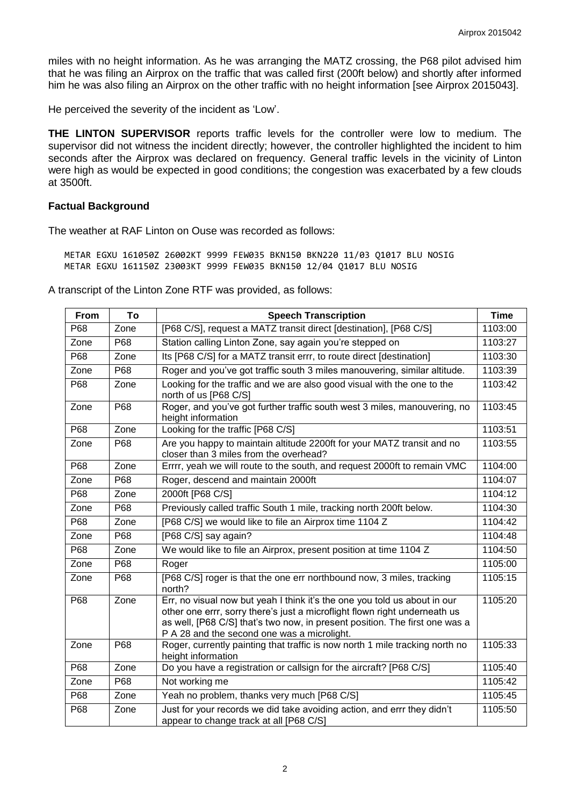miles with no height information. As he was arranging the MATZ crossing, the P68 pilot advised him that he was filing an Airprox on the traffic that was called first (200ft below) and shortly after informed him he was also filing an Airprox on the other traffic with no height information [see Airprox 2015043].

He perceived the severity of the incident as 'Low'.

**THE LINTON SUPERVISOR** reports traffic levels for the controller were low to medium. The supervisor did not witness the incident directly; however, the controller highlighted the incident to him seconds after the Airprox was declared on frequency. General traffic levels in the vicinity of Linton were high as would be expected in good conditions; the congestion was exacerbated by a few clouds at 3500ft.

#### **Factual Background**

The weather at RAF Linton on Ouse was recorded as follows:

METAR EGXU 161050Z 26002KT 9999 FEW035 BKN150 BKN220 11/03 Q1017 BLU NOSIG METAR EGXU 161150Z 23003KT 9999 FEW035 BKN150 12/04 Q1017 BLU NOSIG

A transcript of the Linton Zone RTF was provided, as follows:

| From | To   | <b>Speech Transcription</b>                                                                                                                                                                                                                                                           | <b>Time</b> |
|------|------|---------------------------------------------------------------------------------------------------------------------------------------------------------------------------------------------------------------------------------------------------------------------------------------|-------------|
| P68  | Zone | [P68 C/S], request a MATZ transit direct [destination], [P68 C/S]                                                                                                                                                                                                                     |             |
| Zone | P68  | Station calling Linton Zone, say again you're stepped on                                                                                                                                                                                                                              | 1103:27     |
| P68  | Zone | Its [P68 C/S] for a MATZ transit errr, to route direct [destination]                                                                                                                                                                                                                  | 1103:30     |
| Zone | P68  | Roger and you've got traffic south 3 miles manouvering, similar altitude.                                                                                                                                                                                                             | 1103:39     |
| P68  | Zone | Looking for the traffic and we are also good visual with the one to the<br>north of us [P68 C/S]                                                                                                                                                                                      | 1103:42     |
| Zone | P68  | Roger, and you've got further traffic south west 3 miles, manouvering, no<br>height information                                                                                                                                                                                       | 1103:45     |
| P68  | Zone | Looking for the traffic [P68 C/S]                                                                                                                                                                                                                                                     | 1103:51     |
| Zone | P68  | Are you happy to maintain altitude 2200ft for your MATZ transit and no<br>closer than 3 miles from the overhead?                                                                                                                                                                      | 1103:55     |
| P68  | Zone | Errrr, yeah we will route to the south, and request 2000ft to remain VMC                                                                                                                                                                                                              | 1104:00     |
| Zone | P68  | Roger, descend and maintain 2000ft                                                                                                                                                                                                                                                    | 1104:07     |
| P68  | Zone | 2000ft [P68 C/S]                                                                                                                                                                                                                                                                      | 1104:12     |
| Zone | P68  | Previously called traffic South 1 mile, tracking north 200ft below.                                                                                                                                                                                                                   | 1104:30     |
| P68  | Zone | [P68 C/S] we would like to file an Airprox time 1104 Z                                                                                                                                                                                                                                | 1104:42     |
| Zone | P68  | [P68 C/S] say again?                                                                                                                                                                                                                                                                  | 1104:48     |
| P68  | Zone | We would like to file an Airprox, present position at time 1104 Z                                                                                                                                                                                                                     | 1104:50     |
| Zone | P68  | Roger                                                                                                                                                                                                                                                                                 | 1105:00     |
| Zone | P68  | [P68 C/S] roger is that the one err northbound now, 3 miles, tracking<br>north?                                                                                                                                                                                                       | 1105:15     |
| P68  | Zone | Err, no visual now but yeah I think it's the one you told us about in our<br>other one errr, sorry there's just a microflight flown right underneath us<br>as well, [P68 C/S] that's two now, in present position. The first one was a<br>P A 28 and the second one was a microlight. | 1105:20     |
| Zone | P68  | Roger, currently painting that traffic is now north 1 mile tracking north no<br>height information                                                                                                                                                                                    | 1105:33     |
| P68  | Zone | Do you have a registration or callsign for the aircraft? [P68 C/S]                                                                                                                                                                                                                    | 1105:40     |
| Zone | P68  | Not working me                                                                                                                                                                                                                                                                        | 1105:42     |
| P68  | Zone | Yeah no problem, thanks very much [P68 C/S]                                                                                                                                                                                                                                           | 1105:45     |
| P68  | Zone | Just for your records we did take avoiding action, and errr they didn't<br>appear to change track at all [P68 C/S]                                                                                                                                                                    | 1105:50     |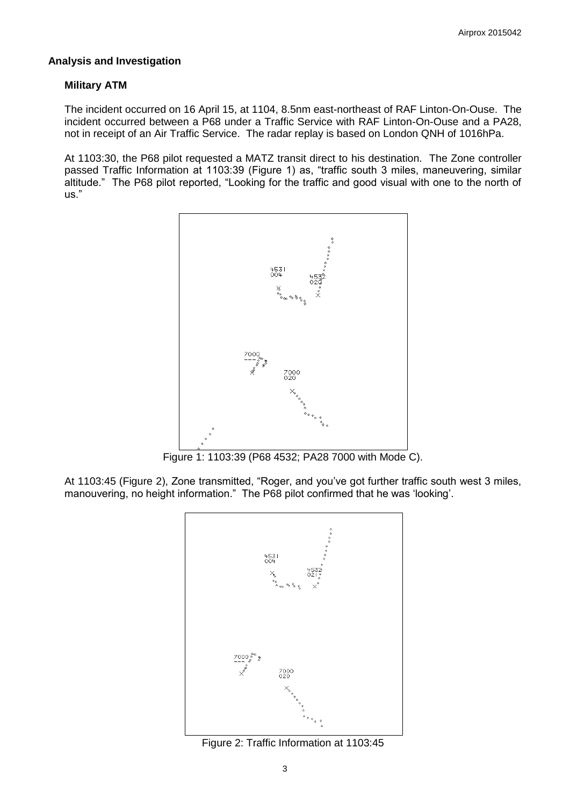#### **Analysis and Investigation**

#### **Military ATM**

The incident occurred on 16 April 15, at 1104, 8.5nm east-northeast of RAF Linton-On-Ouse. The incident occurred between a P68 under a Traffic Service with RAF Linton-On-Ouse and a PA28, not in receipt of an Air Traffic Service. The radar replay is based on London QNH of 1016hPa.

At 1103:30, the P68 pilot requested a MATZ transit direct to his destination. The Zone controller passed Traffic Information at 1103:39 (Figure 1) as, "traffic south 3 miles, maneuvering, similar altitude." The P68 pilot reported, "Looking for the traffic and good visual with one to the north of us."



Figure 1: 1103:39 (P68 4532; PA28 7000 with Mode C).

At 1103:45 (Figure 2), Zone transmitted, "Roger, and you've got further traffic south west 3 miles, manouvering, no height information." The P68 pilot confirmed that he was 'looking'.



Figure 2: Traffic Information at 1103:45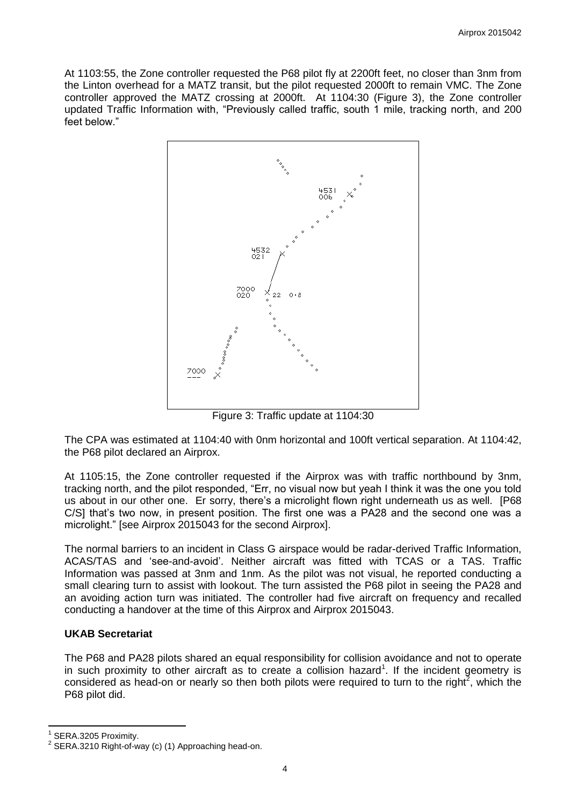At 1103:55, the Zone controller requested the P68 pilot fly at 2200ft feet, no closer than 3nm from the Linton overhead for a MATZ transit, but the pilot requested 2000ft to remain VMC. The Zone controller approved the MATZ crossing at 2000ft. At 1104:30 (Figure 3), the Zone controller updated Traffic Information with, "Previously called traffic, south 1 mile, tracking north, and 200 feet below."



Figure 3: Traffic update at 1104:30

The CPA was estimated at 1104:40 with 0nm horizontal and 100ft vertical separation. At 1104:42, the P68 pilot declared an Airprox.

At 1105:15, the Zone controller requested if the Airprox was with traffic northbound by 3nm, tracking north, and the pilot responded, "Err, no visual now but yeah I think it was the one you told us about in our other one. Er sorry, there's a microlight flown right underneath us as well. [P68 C/S] that's two now, in present position. The first one was a PA28 and the second one was a microlight." [see Airprox 2015043 for the second Airprox].

The normal barriers to an incident in Class G airspace would be radar-derived Traffic Information, ACAS/TAS and 'see-and-avoid'. Neither aircraft was fitted with TCAS or a TAS. Traffic Information was passed at 3nm and 1nm. As the pilot was not visual, he reported conducting a small clearing turn to assist with lookout. The turn assisted the P68 pilot in seeing the PA28 and an avoiding action turn was initiated. The controller had five aircraft on frequency and recalled conducting a handover at the time of this Airprox and Airprox 2015043.

### **UKAB Secretariat**

The P68 and PA28 pilots shared an equal responsibility for collision avoidance and not to operate in such proximity to other aircraft as to create a collision hazard<sup>1</sup>. If the incident geometry is considered as head-on or nearly so then both pilots were required to turn to the right<sup>2</sup>, which the P68 pilot did.

 $\overline{\phantom{a}}$ 

<sup>1</sup> SERA.3205 Proximity.

 $2$  SERA.3210 Right-of-way (c) (1) Approaching head-on.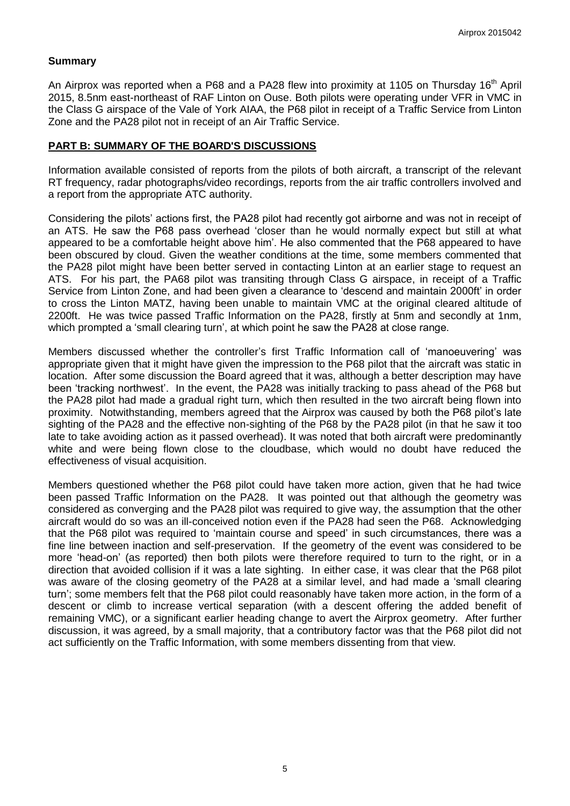#### **Summary**

An Airprox was reported when a P68 and a PA28 flew into proximity at 1105 on Thursday 16<sup>th</sup> April 2015, 8.5nm east-northeast of RAF Linton on Ouse. Both pilots were operating under VFR in VMC in the Class G airspace of the Vale of York AIAA, the P68 pilot in receipt of a Traffic Service from Linton Zone and the PA28 pilot not in receipt of an Air Traffic Service.

#### **PART B: SUMMARY OF THE BOARD'S DISCUSSIONS**

Information available consisted of reports from the pilots of both aircraft, a transcript of the relevant RT frequency, radar photographs/video recordings, reports from the air traffic controllers involved and a report from the appropriate ATC authority.

Considering the pilots' actions first, the PA28 pilot had recently got airborne and was not in receipt of an ATS. He saw the P68 pass overhead 'closer than he would normally expect but still at what appeared to be a comfortable height above him'. He also commented that the P68 appeared to have been obscured by cloud. Given the weather conditions at the time, some members commented that the PA28 pilot might have been better served in contacting Linton at an earlier stage to request an ATS. For his part, the PA68 pilot was transiting through Class G airspace, in receipt of a Traffic Service from Linton Zone, and had been given a clearance to 'descend and maintain 2000ft' in order to cross the Linton MATZ, having been unable to maintain VMC at the original cleared altitude of 2200ft. He was twice passed Traffic Information on the PA28, firstly at 5nm and secondly at 1nm, which prompted a 'small clearing turn', at which point he saw the PA28 at close range.

Members discussed whether the controller's first Traffic Information call of 'manoeuvering' was appropriate given that it might have given the impression to the P68 pilot that the aircraft was static in location. After some discussion the Board agreed that it was, although a better description may have been 'tracking northwest'. In the event, the PA28 was initially tracking to pass ahead of the P68 but the PA28 pilot had made a gradual right turn, which then resulted in the two aircraft being flown into proximity. Notwithstanding, members agreed that the Airprox was caused by both the P68 pilot's late sighting of the PA28 and the effective non-sighting of the P68 by the PA28 pilot (in that he saw it too late to take avoiding action as it passed overhead). It was noted that both aircraft were predominantly white and were being flown close to the cloudbase, which would no doubt have reduced the effectiveness of visual acquisition.

Members questioned whether the P68 pilot could have taken more action, given that he had twice been passed Traffic Information on the PA28. It was pointed out that although the geometry was considered as converging and the PA28 pilot was required to give way, the assumption that the other aircraft would do so was an ill-conceived notion even if the PA28 had seen the P68. Acknowledging that the P68 pilot was required to 'maintain course and speed' in such circumstances, there was a fine line between inaction and self-preservation. If the geometry of the event was considered to be more 'head-on' (as reported) then both pilots were therefore required to turn to the right, or in a direction that avoided collision if it was a late sighting. In either case, it was clear that the P68 pilot was aware of the closing geometry of the PA28 at a similar level, and had made a 'small clearing turn'; some members felt that the P68 pilot could reasonably have taken more action, in the form of a descent or climb to increase vertical separation (with a descent offering the added benefit of remaining VMC), or a significant earlier heading change to avert the Airprox geometry. After further discussion, it was agreed, by a small majority, that a contributory factor was that the P68 pilot did not act sufficiently on the Traffic Information, with some members dissenting from that view.